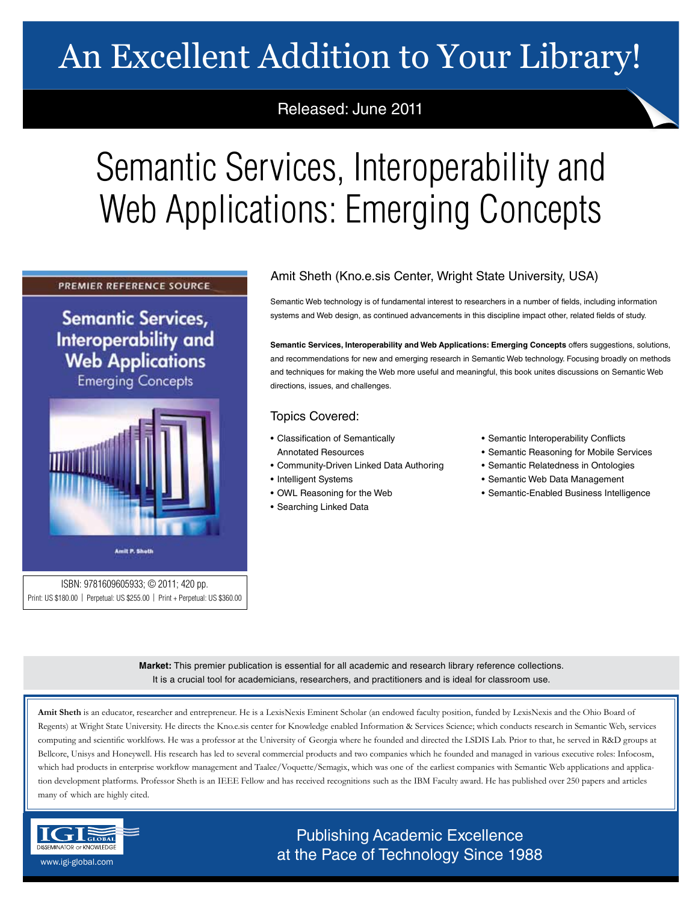# An Excellent Addition to Your Library!

## Released: June 2011

# Semantic Services, Interoperability and Web Applications: Emerging Concepts

### PREMIER REFERENCE SOURCE

**Semantic Services,** Interoperability and **Web Applications Emerging Concepts** 



ISBN: 9781609605933; © 2011; 420 pp.

Print: US \$180.00 | Perpetual: US \$255.00 | Print + Perpetual: US \$360.00

## Amit Sheth (Kno.e.sis Center, Wright State University, USA)

Semantic Web technology is of fundamental interest to researchers in a number of fields, including information systems and Web design, as continued advancements in this discipline impact other, related fields of study.

**Semantic Services, Interoperability and Web Applications: Emerging Concepts** offers suggestions, solutions, and recommendations for new and emerging research in Semantic Web technology. Focusing broadly on methods and techniques for making the Web more useful and meaningful, this book unites discussions on Semantic Web directions, issues, and challenges.

### Topics Covered:

- Classification of Semantically Annotated Resources
- Community-Driven Linked Data Authoring
- Intelligent Systems
- OWL Reasoning for the Web
- Searching Linked Data
- Semantic Interoperability Conflicts
- Semantic Reasoning for Mobile Services
- Semantic Relatedness in Ontologies
- Semantic Web Data Management
- Semantic-Enabled Business Intelligence

**Market:** This premier publication is essential for all academic and research library reference collections. It is a crucial tool for academicians, researchers, and practitioners and is ideal for classroom use.

Amit Sheth is an educator, researcher and entrepreneur. He is a LexisNexis Eminent Scholar (an endowed faculty position, funded by LexisNexis and the Ohio Board of Regents) at Wright State University. He directs the Kno.e.sis center for Knowledge enabled Information & Services Science; which conducts research in Semantic Web, services computing and scientific worklfows. He was a professor at the University of Georgia where he founded and directed the LSDIS Lab. Prior to that, he served in R&D groups at Bellcore, Unisys and Honeywell. His research has led to several commercial products and two companies which he founded and managed in various executive roles: Infocosm, which had products in enterprise workflow management and Taalee/Voquette/Semagix, which was one of the earliest companies with Semantic Web applications and application development platforms. Professor Sheth is an IEEE Fellow and has received recognitions such as the IBM Faculty award. He has published over 250 papers and articles many of which are highly cited.



Publishing Academic Excellence **ALSEMINATOR OF KNOWLEDGE at the Pace of Technology Since 1988** www.igi-global.com